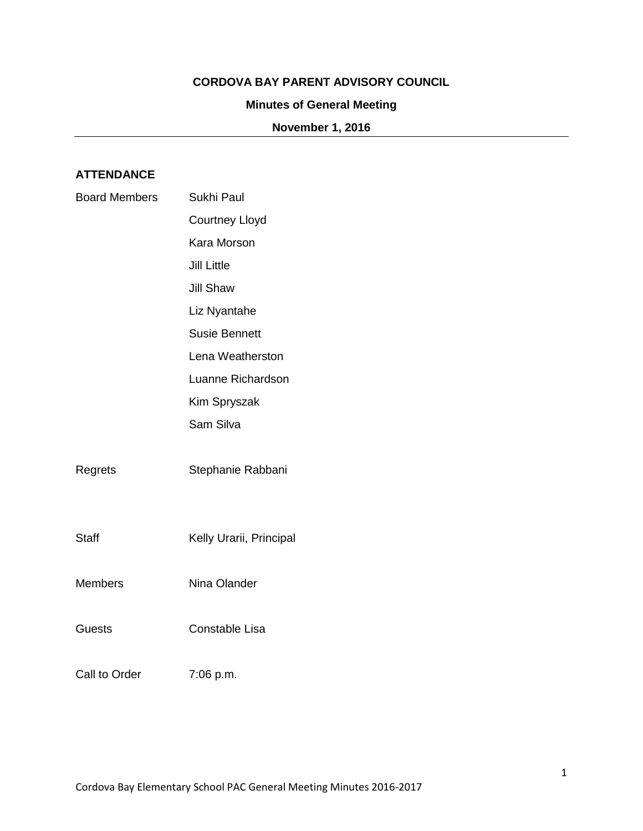### **CORDOVA BAY PARENT ADVISORY COUNCIL**

#### **Minutes of General Meeting**

## **November 1, 2016**

# **ATTENDANCE**

| <b>Board Members</b> | Sukhi Paul              |
|----------------------|-------------------------|
|                      | <b>Courtney Lloyd</b>   |
|                      | Kara Morson             |
|                      | <b>Jill Little</b>      |
|                      | <b>Jill Shaw</b>        |
|                      | Liz Nyantahe            |
|                      | <b>Susie Bennett</b>    |
|                      | Lena Weatherston        |
|                      | Luanne Richardson       |
|                      | Kim Spryszak            |
|                      | Sam Silva               |
| Regrets              | Stephanie Rabbani       |
| <b>Staff</b>         | Kelly Urarii, Principal |
| Members              | Nina Olander            |
| <b>Guests</b>        | Constable Lisa          |
| Call to Order        | 7:06 p.m.               |